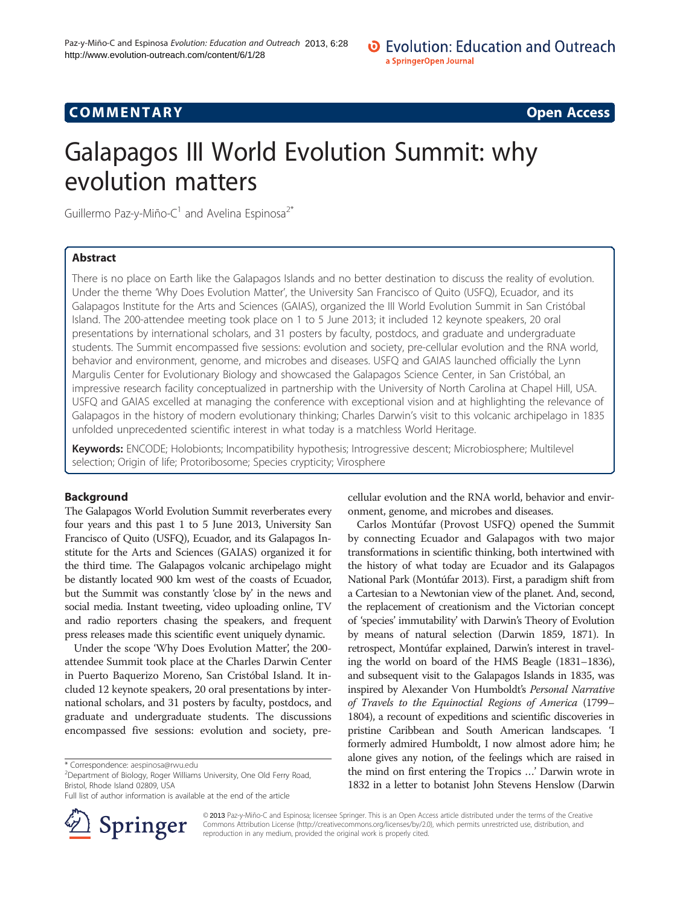## **COMMENTARY COMMENTARY Open Access**

# Galapagos III World Evolution Summit: why evolution matters

Guillermo Paz-y-Miño-C<sup>1</sup> and Avelina Espinosa<sup>2\*</sup>

## Abstract

There is no place on Earth like the Galapagos Islands and no better destination to discuss the reality of evolution. Under the theme 'Why Does Evolution Matter', the University San Francisco of Quito (USFQ), Ecuador, and its Galapagos Institute for the Arts and Sciences (GAIAS), organized the III World Evolution Summit in San Cristóbal Island. The 200-attendee meeting took place on 1 to 5 June 2013; it included 12 keynote speakers, 20 oral presentations by international scholars, and 31 posters by faculty, postdocs, and graduate and undergraduate students. The Summit encompassed five sessions: evolution and society, pre-cellular evolution and the RNA world, behavior and environment, genome, and microbes and diseases. USFQ and GAIAS launched officially the Lynn Margulis Center for Evolutionary Biology and showcased the Galapagos Science Center, in San Cristóbal, an impressive research facility conceptualized in partnership with the University of North Carolina at Chapel Hill, USA. USFQ and GAIAS excelled at managing the conference with exceptional vision and at highlighting the relevance of Galapagos in the history of modern evolutionary thinking; Charles Darwin's visit to this volcanic archipelago in 1835 unfolded unprecedented scientific interest in what today is a matchless World Heritage.

Keywords: ENCODE; Holobionts; Incompatibility hypothesis; Introgressive descent; Microbiosphere; Multilevel selection; Origin of life; Protoribosome; Species crypticity; Virosphere

## Background

The Galapagos World Evolution Summit reverberates every four years and this past 1 to 5 June 2013, University San Francisco of Quito (USFQ), Ecuador, and its Galapagos Institute for the Arts and Sciences (GAIAS) organized it for the third time. The Galapagos volcanic archipelago might be distantly located 900 km west of the coasts of Ecuador, but the Summit was constantly 'close by' in the news and social media. Instant tweeting, video uploading online, TV and radio reporters chasing the speakers, and frequent press releases made this scientific event uniquely dynamic.

Under the scope 'Why Does Evolution Matter', the 200 attendee Summit took place at the Charles Darwin Center in Puerto Baquerizo Moreno, San Cristóbal Island. It included 12 keynote speakers, 20 oral presentations by international scholars, and 31 posters by faculty, postdocs, and graduate and undergraduate students. The discussions encompassed five sessions: evolution and society, pre-

Full list of author information is available at the end of the article



cellular evolution and the RNA world, behavior and environment, genome, and microbes and diseases.

Carlos Montúfar (Provost USFQ) opened the Summit by connecting Ecuador and Galapagos with two major transformations in scientific thinking, both intertwined with the history of what today are Ecuador and its Galapagos National Park (Montúfar [2013\)](#page-8-0). First, a paradigm shift from a Cartesian to a Newtonian view of the planet. And, second, the replacement of creationism and the Victorian concept of 'species' immutability' with Darwin's Theory of Evolution by means of natural selection (Darwin [1859](#page-8-0), [1871](#page-8-0)). In retrospect, Montúfar explained, Darwin's interest in traveling the world on board of the HMS Beagle (1831–1836), and subsequent visit to the Galapagos Islands in 1835, was inspired by Alexander Von Humboldt's Personal Narrative of Travels to the Equinoctial Regions of America (1799– 1804), a recount of expeditions and scientific discoveries in pristine Caribbean and South American landscapes. 'I formerly admired Humboldt, I now almost adore him; he alone gives any notion, of the feelings which are raised in the mind on first entering the Tropics …' Darwin wrote in 1832 in a letter to botanist John Stevens Henslow (Darwin

© 2013 Paz-y-Miño-C and Espinosa; licensee Springer. This is an Open Access article distributed under the terms of the Creative Commons Attribution License (<http://creativecommons.org/licenses/by/2.0>), which permits unrestricted use, distribution, and reproduction in any medium, provided the original work is properly cited.

<sup>\*</sup> Correspondence: [aespinosa@rwu.edu](mailto:aespinosa@rwu.edu) <sup>2</sup>

<sup>&</sup>lt;sup>2</sup>Department of Biology, Roger Williams University, One Old Ferry Road, Bristol, Rhode Island 02809, USA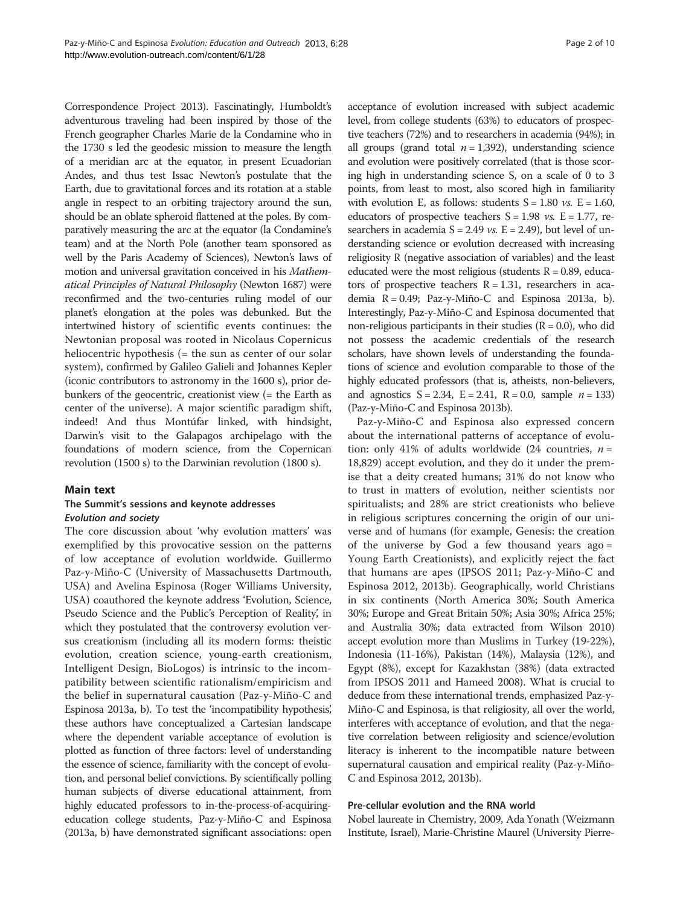Correspondence Project [2013\)](#page-8-0). Fascinatingly, Humboldt's adventurous traveling had been inspired by those of the French geographer Charles Marie de la Condamine who in the 1730 s led the geodesic mission to measure the length of a meridian arc at the equator, in present Ecuadorian Andes, and thus test Issac Newton's postulate that the Earth, due to gravitational forces and its rotation at a stable angle in respect to an orbiting trajectory around the sun, should be an oblate spheroid flattened at the poles. By comparatively measuring the arc at the equator (la Condamine's team) and at the North Pole (another team sponsored as well by the Paris Academy of Sciences), Newton's laws of motion and universal gravitation conceived in his Mathematical Principles of Natural Philosophy (Newton [1687](#page-8-0)) were reconfirmed and the two-centuries ruling model of our planet's elongation at the poles was debunked. But the intertwined history of scientific events continues: the Newtonian proposal was rooted in Nicolaus Copernicus heliocentric hypothesis (= the sun as center of our solar system), confirmed by Galileo Galieli and Johannes Kepler (iconic contributors to astronomy in the 1600 s), prior debunkers of the geocentric, creationist view (= the Earth as center of the universe). A major scientific paradigm shift, indeed! And thus Montúfar linked, with hindsight, Darwin's visit to the Galapagos archipelago with the foundations of modern science, from the Copernican revolution (1500 s) to the Darwinian revolution (1800 s).

## Main text

## The Summit's sessions and keynote addresses Evolution and society

The core discussion about 'why evolution matters' was exemplified by this provocative session on the patterns of low acceptance of evolution worldwide. Guillermo Paz-y-Miño-C (University of Massachusetts Dartmouth, USA) and Avelina Espinosa (Roger Williams University, USA) coauthored the keynote address 'Evolution, Science, Pseudo Science and the Public's Perception of Reality', in which they postulated that the controversy evolution versus creationism (including all its modern forms: theistic evolution, creation science, young-earth creationism, Intelligent Design, BioLogos) is intrinsic to the incompatibility between scientific rationalism/empiricism and the belief in supernatural causation (Paz-y-Miño-C and Espinosa [2013a](#page-8-0), [b\)](#page-8-0). To test the 'incompatibility hypothesis,' these authors have conceptualized a Cartesian landscape where the dependent variable acceptance of evolution is plotted as function of three factors: level of understanding the essence of science, familiarity with the concept of evolution, and personal belief convictions. By scientifically polling human subjects of diverse educational attainment, from highly educated professors to in-the-process-of-acquiringeducation college students, Paz-y-Miño-C and Espinosa ([2013a, b\)](#page-8-0) have demonstrated significant associations: open

acceptance of evolution increased with subject academic level, from college students (63%) to educators of prospective teachers (72%) and to researchers in academia (94%); in all groups (grand total  $n = 1,392$ ), understanding science and evolution were positively correlated (that is those scoring high in understanding science S, on a scale of 0 to 3 points, from least to most, also scored high in familiarity with evolution E, as follows: students  $S = 1.80$  *vs.*  $E = 1.60$ , educators of prospective teachers  $S = 1.98$  *vs.*  $E = 1.77$ , researchers in academia  $S = 2.49$  vs.  $E = 2.49$ ), but level of understanding science or evolution decreased with increasing religiosity R (negative association of variables) and the least educated were the most religious (students  $R = 0.89$ , educators of prospective teachers  $R = 1.31$ , researchers in academia  $R = 0.49$ ; Paz-y-Miño-C and Espinosa [2013a](#page-8-0), [b](#page-8-0)). Interestingly, Paz-y-Miño-C and Espinosa documented that non-religious participants in their studies  $(R = 0.0)$ , who did not possess the academic credentials of the research scholars, have shown levels of understanding the foundations of science and evolution comparable to those of the highly educated professors (that is, atheists, non-believers, and agnostics  $S = 2.34$ ,  $E = 2.41$ ,  $R = 0.0$ , sample  $n = 133$ ) (Paz-y-Miño-C and Espinosa [2013b](#page-8-0)).

Paz-y-Miño-C and Espinosa also expressed concern about the international patterns of acceptance of evolution: only 41% of adults worldwide (24 countries,  $n =$ 18,829) accept evolution, and they do it under the premise that a deity created humans; 31% do not know who to trust in matters of evolution, neither scientists nor spiritualists; and 28% are strict creationists who believe in religious scriptures concerning the origin of our universe and of humans (for example, Genesis: the creation of the universe by God a few thousand years  $ago =$ Young Earth Creationists), and explicitly reject the fact that humans are apes (IPSOS [2011;](#page-8-0) Paz-y-Miño-C and Espinosa [2012, 2013b](#page-8-0)). Geographically, world Christians in six continents (North America 30%; South America 30%; Europe and Great Britain 50%; Asia 30%; Africa 25%; and Australia 30%; data extracted from Wilson [2010](#page-9-0)) accept evolution more than Muslims in Turkey (19-22%), Indonesia (11-16%), Pakistan (14%), Malaysia (12%), and Egypt (8%), except for Kazakhstan (38%) (data extracted from IPSOS [2011](#page-8-0) and Hameed [2008](#page-8-0)). What is crucial to deduce from these international trends, emphasized Paz-y-Miño-C and Espinosa, is that religiosity, all over the world, interferes with acceptance of evolution, and that the negative correlation between religiosity and science/evolution literacy is inherent to the incompatible nature between supernatural causation and empirical reality (Paz-y-Miño-C and Espinosa [2012, 2013b\)](#page-8-0).

#### Pre-cellular evolution and the RNA world

Nobel laureate in Chemistry, 2009, Ada Yonath (Weizmann Institute, Israel), Marie-Christine Maurel (University Pierre-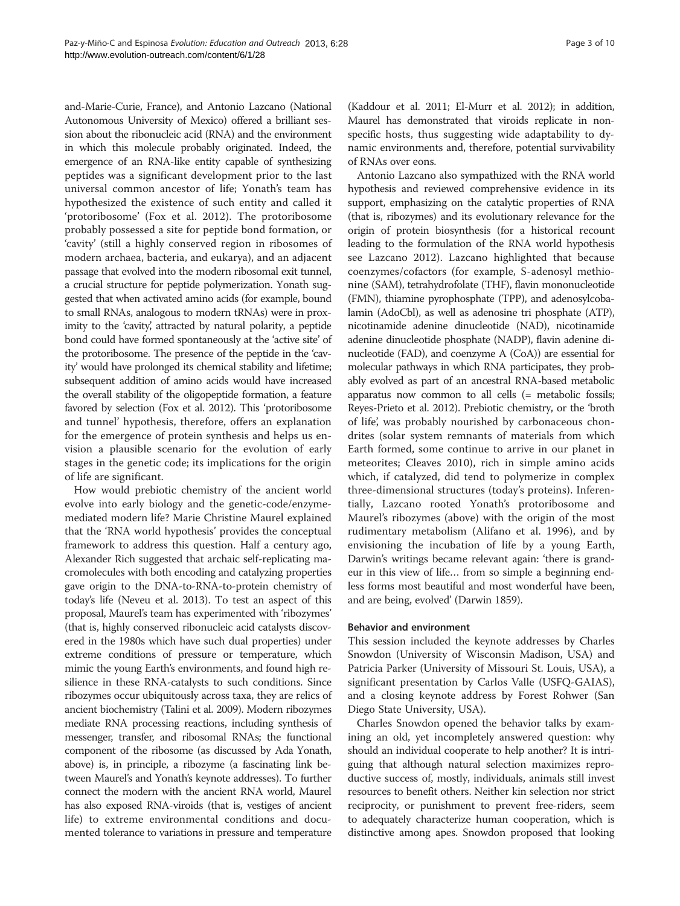and-Marie-Curie, France), and Antonio Lazcano (National Autonomous University of Mexico) offered a brilliant session about the ribonucleic acid (RNA) and the environment in which this molecule probably originated. Indeed, the emergence of an RNA-like entity capable of synthesizing peptides was a significant development prior to the last universal common ancestor of life; Yonath's team has hypothesized the existence of such entity and called it 'protoribosome' (Fox et al. [2012](#page-8-0)). The protoribosome probably possessed a site for peptide bond formation, or 'cavity' (still a highly conserved region in ribosomes of modern archaea, bacteria, and eukarya), and an adjacent passage that evolved into the modern ribosomal exit tunnel, a crucial structure for peptide polymerization. Yonath suggested that when activated amino acids (for example, bound to small RNAs, analogous to modern tRNAs) were in proximity to the 'cavity', attracted by natural polarity, a peptide bond could have formed spontaneously at the 'active site' of the protoribosome. The presence of the peptide in the 'cavity' would have prolonged its chemical stability and lifetime; subsequent addition of amino acids would have increased the overall stability of the oligopeptide formation, a feature favored by selection (Fox et al. [2012\)](#page-8-0). This 'protoribosome and tunnel' hypothesis, therefore, offers an explanation for the emergence of protein synthesis and helps us envision a plausible scenario for the evolution of early stages in the genetic code; its implications for the origin of life are significant.

How would prebiotic chemistry of the ancient world evolve into early biology and the genetic-code/enzymemediated modern life? Marie Christine Maurel explained that the 'RNA world hypothesis' provides the conceptual framework to address this question. Half a century ago, Alexander Rich suggested that archaic self-replicating macromolecules with both encoding and catalyzing properties gave origin to the DNA-to-RNA-to-protein chemistry of today's life (Neveu et al. [2013](#page-8-0)). To test an aspect of this proposal, Maurel's team has experimented with 'ribozymes' (that is, highly conserved ribonucleic acid catalysts discovered in the 1980s which have such dual properties) under extreme conditions of pressure or temperature, which mimic the young Earth's environments, and found high resilience in these RNA-catalysts to such conditions. Since ribozymes occur ubiquitously across taxa, they are relics of ancient biochemistry (Talini et al. [2009](#page-8-0)). Modern ribozymes mediate RNA processing reactions, including synthesis of messenger, transfer, and ribosomal RNAs; the functional component of the ribosome (as discussed by Ada Yonath, above) is, in principle, a ribozyme (a fascinating link between Maurel's and Yonath's keynote addresses). To further connect the modern with the ancient RNA world, Maurel has also exposed RNA-viroids (that is, vestiges of ancient life) to extreme environmental conditions and documented tolerance to variations in pressure and temperature

(Kaddour et al. [2011;](#page-8-0) El-Murr et al. [2012](#page-8-0)); in addition, Maurel has demonstrated that viroids replicate in nonspecific hosts, thus suggesting wide adaptability to dynamic environments and, therefore, potential survivability of RNAs over eons.

Antonio Lazcano also sympathized with the RNA world hypothesis and reviewed comprehensive evidence in its support, emphasizing on the catalytic properties of RNA (that is, ribozymes) and its evolutionary relevance for the origin of protein biosynthesis (for a historical recount leading to the formulation of the RNA world hypothesis see Lazcano [2012](#page-8-0)). Lazcano highlighted that because coenzymes/cofactors (for example, S-adenosyl methionine (SAM), tetrahydrofolate (THF), flavin mononucleotide (FMN), thiamine pyrophosphate (TPP), and adenosylcobalamin (AdoCbl), as well as adenosine tri phosphate (ATP), nicotinamide adenine dinucleotide (NAD), nicotinamide adenine dinucleotide phosphate (NADP), flavin adenine dinucleotide (FAD), and coenzyme A (CoA)) are essential for molecular pathways in which RNA participates, they probably evolved as part of an ancestral RNA-based metabolic apparatus now common to all cells (= metabolic fossils; Reyes-Prieto et al. [2012](#page-8-0)). Prebiotic chemistry, or the 'broth of life', was probably nourished by carbonaceous chondrites (solar system remnants of materials from which Earth formed, some continue to arrive in our planet in meteorites; Cleaves [2010](#page-8-0)), rich in simple amino acids which, if catalyzed, did tend to polymerize in complex three-dimensional structures (today's proteins). Inferentially, Lazcano rooted Yonath's protoribosome and Maurel's ribozymes (above) with the origin of the most rudimentary metabolism (Alifano et al. [1996\)](#page-7-0), and by envisioning the incubation of life by a young Earth, Darwin's writings became relevant again: 'there is grandeur in this view of life… from so simple a beginning endless forms most beautiful and most wonderful have been, and are being, evolved' (Darwin [1859\)](#page-8-0).

#### Behavior and environment

This session included the keynote addresses by Charles Snowdon (University of Wisconsin Madison, USA) and Patricia Parker (University of Missouri St. Louis, USA), a significant presentation by Carlos Valle (USFQ-GAIAS), and a closing keynote address by Forest Rohwer (San Diego State University, USA).

Charles Snowdon opened the behavior talks by examining an old, yet incompletely answered question: why should an individual cooperate to help another? It is intriguing that although natural selection maximizes reproductive success of, mostly, individuals, animals still invest resources to benefit others. Neither kin selection nor strict reciprocity, or punishment to prevent free-riders, seem to adequately characterize human cooperation, which is distinctive among apes. Snowdon proposed that looking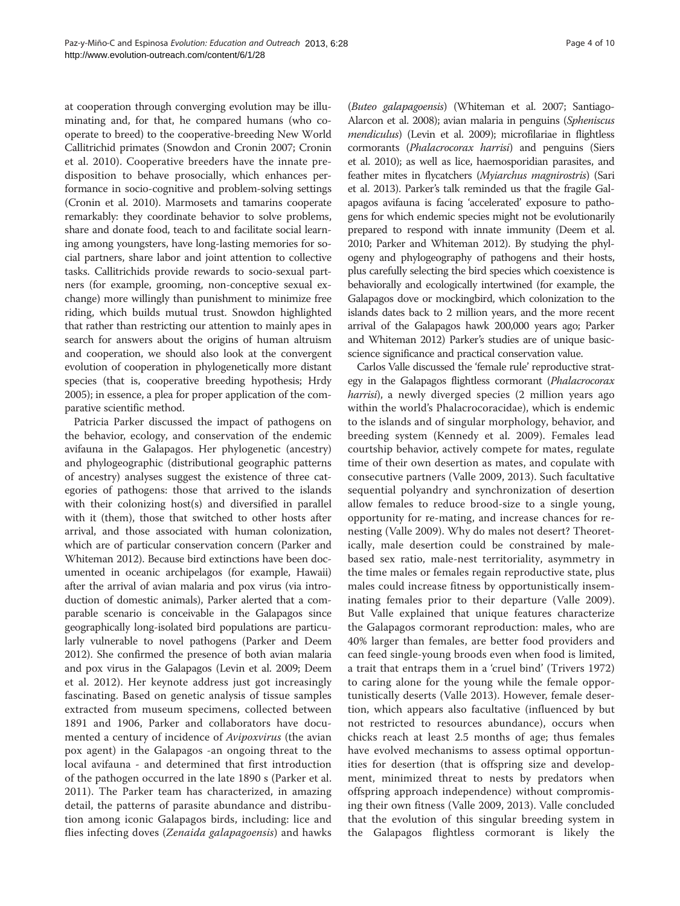at cooperation through converging evolution may be illuminating and, for that, he compared humans (who cooperate to breed) to the cooperative-breeding New World Callitrichid primates (Snowdon and Cronin [2007;](#page-8-0) Cronin et al. [2010](#page-8-0)). Cooperative breeders have the innate predisposition to behave prosocially, which enhances performance in socio-cognitive and problem-solving settings (Cronin et al. [2010\)](#page-8-0). Marmosets and tamarins cooperate remarkably: they coordinate behavior to solve problems, share and donate food, teach to and facilitate social learning among youngsters, have long-lasting memories for social partners, share labor and joint attention to collective tasks. Callitrichids provide rewards to socio-sexual partners (for example, grooming, non-conceptive sexual exchange) more willingly than punishment to minimize free riding, which builds mutual trust. Snowdon highlighted that rather than restricting our attention to mainly apes in search for answers about the origins of human altruism and cooperation, we should also look at the convergent evolution of cooperation in phylogenetically more distant species (that is, cooperative breeding hypothesis; Hrdy [2005\)](#page-8-0); in essence, a plea for proper application of the comparative scientific method.

Patricia Parker discussed the impact of pathogens on the behavior, ecology, and conservation of the endemic avifauna in the Galapagos. Her phylogenetic (ancestry) and phylogeographic (distributional geographic patterns of ancestry) analyses suggest the existence of three categories of pathogens: those that arrived to the islands with their colonizing host(s) and diversified in parallel with it (them), those that switched to other hosts after arrival, and those associated with human colonization, which are of particular conservation concern (Parker and Whiteman [2012](#page-8-0)). Because bird extinctions have been documented in oceanic archipelagos (for example, Hawaii) after the arrival of avian malaria and pox virus (via introduction of domestic animals), Parker alerted that a comparable scenario is conceivable in the Galapagos since geographically long-isolated bird populations are particularly vulnerable to novel pathogens (Parker and Deem [2012\)](#page-8-0). She confirmed the presence of both avian malaria and pox virus in the Galapagos (Levin et al. [2009;](#page-8-0) Deem et al. [2012](#page-8-0)). Her keynote address just got increasingly fascinating. Based on genetic analysis of tissue samples extracted from museum specimens, collected between 1891 and 1906, Parker and collaborators have documented a century of incidence of Avipoxvirus (the avian pox agent) in the Galapagos -an ongoing threat to the local avifauna - and determined that first introduction of the pathogen occurred in the late 1890 s (Parker et al. [2011\)](#page-8-0). The Parker team has characterized, in amazing detail, the patterns of parasite abundance and distribution among iconic Galapagos birds, including: lice and flies infecting doves (Zenaida galapagoensis) and hawks (Buteo galapagoensis) (Whiteman et al. [2007](#page-9-0); Santiago-Alarcon et al. [2008](#page-8-0)); avian malaria in penguins (Spheniscus mendiculus) (Levin et al. [2009\)](#page-8-0); microfilariae in flightless cormorants (Phalacrocorax harrisi) and penguins (Siers et al. [2010](#page-8-0)); as well as lice, haemosporidian parasites, and feather mites in flycatchers (Myiarchus magnirostris) (Sari et al. [2013](#page-8-0)). Parker's talk reminded us that the fragile Galapagos avifauna is facing 'accelerated' exposure to pathogens for which endemic species might not be evolutionarily prepared to respond with innate immunity (Deem et al. [2010;](#page-8-0) Parker and Whiteman [2012](#page-8-0)). By studying the phylogeny and phylogeography of pathogens and their hosts, plus carefully selecting the bird species which coexistence is behaviorally and ecologically intertwined (for example, the Galapagos dove or mockingbird, which colonization to the islands dates back to 2 million years, and the more recent arrival of the Galapagos hawk 200,000 years ago; Parker and Whiteman [2012](#page-8-0)) Parker's studies are of unique basicscience significance and practical conservation value.

Carlos Valle discussed the 'female rule' reproductive strategy in the Galapagos flightless cormorant (Phalacrocorax harrisi), a newly diverged species (2 million years ago within the world's Phalacrocoracidae), which is endemic to the islands and of singular morphology, behavior, and breeding system (Kennedy et al. [2009](#page-8-0)). Females lead courtship behavior, actively compete for mates, regulate time of their own desertion as mates, and copulate with consecutive partners (Valle [2009, 2013\)](#page-9-0). Such facultative sequential polyandry and synchronization of desertion allow females to reduce brood-size to a single young, opportunity for re-mating, and increase chances for renesting (Valle [2009\)](#page-9-0). Why do males not desert? Theoretically, male desertion could be constrained by malebased sex ratio, male-nest territoriality, asymmetry in the time males or females regain reproductive state, plus males could increase fitness by opportunistically inseminating females prior to their departure (Valle [2009](#page-9-0)). But Valle explained that unique features characterize the Galapagos cormorant reproduction: males, who are 40% larger than females, are better food providers and can feed single-young broods even when food is limited, a trait that entraps them in a 'cruel bind' (Trivers [1972](#page-8-0)) to caring alone for the young while the female opportunistically deserts (Valle [2013](#page-9-0)). However, female desertion, which appears also facultative (influenced by but not restricted to resources abundance), occurs when chicks reach at least 2.5 months of age; thus females have evolved mechanisms to assess optimal opportunities for desertion (that is offspring size and development, minimized threat to nests by predators when offspring approach independence) without compromising their own fitness (Valle [2009](#page-9-0), [2013](#page-9-0)). Valle concluded that the evolution of this singular breeding system in the Galapagos flightless cormorant is likely the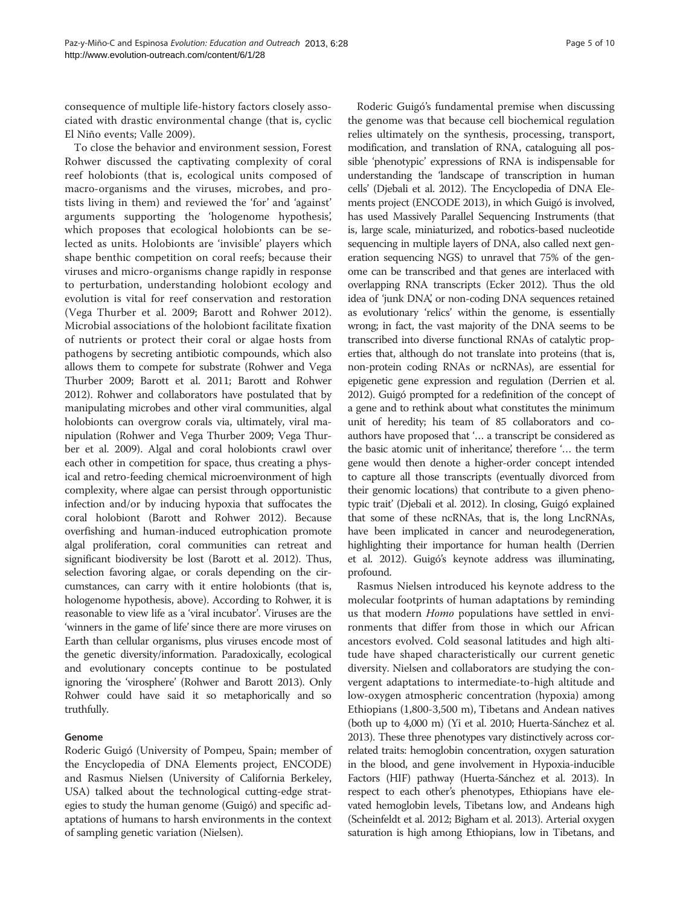consequence of multiple life-history factors closely associated with drastic environmental change (that is, cyclic El Niño events; Valle [2009\)](#page-9-0).

To close the behavior and environment session, Forest Rohwer discussed the captivating complexity of coral reef holobionts (that is, ecological units composed of macro-organisms and the viruses, microbes, and protists living in them) and reviewed the 'for' and 'against' arguments supporting the 'hologenome hypothesis', which proposes that ecological holobionts can be selected as units. Holobionts are 'invisible' players which shape benthic competition on coral reefs; because their viruses and micro-organisms change rapidly in response to perturbation, understanding holobiont ecology and evolution is vital for reef conservation and restoration (Vega Thurber et al. [2009;](#page-9-0) Barott and Rohwer [2012](#page-7-0)). Microbial associations of the holobiont facilitate fixation of nutrients or protect their coral or algae hosts from pathogens by secreting antibiotic compounds, which also allows them to compete for substrate (Rohwer and Vega Thurber [2009](#page-8-0); Barott et al. [2011;](#page-7-0) Barott and Rohwer [2012\)](#page-7-0). Rohwer and collaborators have postulated that by manipulating microbes and other viral communities, algal holobionts can overgrow corals via, ultimately, viral ma-nipulation (Rohwer and Vega Thurber [2009;](#page-8-0) Vega Thurber et al. [2009\)](#page-9-0). Algal and coral holobionts crawl over each other in competition for space, thus creating a physical and retro-feeding chemical microenvironment of high complexity, where algae can persist through opportunistic infection and/or by inducing hypoxia that suffocates the coral holobiont (Barott and Rohwer [2012\)](#page-7-0). Because overfishing and human-induced eutrophication promote algal proliferation, coral communities can retreat and significant biodiversity be lost (Barott et al. [2012\)](#page-7-0). Thus, selection favoring algae, or corals depending on the circumstances, can carry with it entire holobionts (that is, hologenome hypothesis, above). According to Rohwer, it is reasonable to view life as a 'viral incubator'. Viruses are the 'winners in the game of life' since there are more viruses on Earth than cellular organisms, plus viruses encode most of the genetic diversity/information. Paradoxically, ecological and evolutionary concepts continue to be postulated ignoring the 'virosphere' (Rohwer and Barott [2013\)](#page-8-0). Only Rohwer could have said it so metaphorically and so truthfully.

### Genome

Roderic Guigó (University of Pompeu, Spain; member of the Encyclopedia of DNA Elements project, ENCODE) and Rasmus Nielsen (University of California Berkeley, USA) talked about the technological cutting-edge strategies to study the human genome (Guigó) and specific adaptations of humans to harsh environments in the context of sampling genetic variation (Nielsen).

Roderic Guigó's fundamental premise when discussing the genome was that because cell biochemical regulation relies ultimately on the synthesis, processing, transport, modification, and translation of RNA, cataloguing all possible 'phenotypic' expressions of RNA is indispensable for understanding the 'landscape of transcription in human cells' (Djebali et al. [2012\)](#page-8-0). The Encyclopedia of DNA Elements project (ENCODE [2013\)](#page-8-0), in which Guigó is involved, has used Massively Parallel Sequencing Instruments (that is, large scale, miniaturized, and robotics-based nucleotide sequencing in multiple layers of DNA, also called next generation sequencing NGS) to unravel that 75% of the genome can be transcribed and that genes are interlaced with overlapping RNA transcripts (Ecker [2012](#page-8-0)). Thus the old idea of 'junk DNA', or non-coding DNA sequences retained as evolutionary 'relics' within the genome, is essentially wrong; in fact, the vast majority of the DNA seems to be transcribed into diverse functional RNAs of catalytic properties that, although do not translate into proteins (that is, non-protein coding RNAs or ncRNAs), are essential for epigenetic gene expression and regulation (Derrien et al. [2012\)](#page-8-0). Guigó prompted for a redefinition of the concept of a gene and to rethink about what constitutes the minimum unit of heredity; his team of 85 collaborators and coauthors have proposed that '… a transcript be considered as the basic atomic unit of inheritance, therefore '... the term gene would then denote a higher-order concept intended to capture all those transcripts (eventually divorced from their genomic locations) that contribute to a given phenotypic trait' (Djebali et al. [2012](#page-8-0)). In closing, Guigó explained that some of these ncRNAs, that is, the long LncRNAs, have been implicated in cancer and neurodegeneration, highlighting their importance for human health (Derrien et al. [2012](#page-8-0)). Guigó's keynote address was illuminating, profound.

Rasmus Nielsen introduced his keynote address to the molecular footprints of human adaptations by reminding us that modern Homo populations have settled in environments that differ from those in which our African ancestors evolved. Cold seasonal latitudes and high altitude have shaped characteristically our current genetic diversity. Nielsen and collaborators are studying the convergent adaptations to intermediate-to-high altitude and low-oxygen atmospheric concentration (hypoxia) among Ethiopians (1,800-3,500 m), Tibetans and Andean natives (both up to 4,000 m) (Yi et al. [2010](#page-9-0); Huerta-Sánchez et al. [2013\)](#page-8-0). These three phenotypes vary distinctively across correlated traits: hemoglobin concentration, oxygen saturation in the blood, and gene involvement in Hypoxia-inducible Factors (HIF) pathway (Huerta-Sánchez et al. [2013\)](#page-8-0). In respect to each other's phenotypes, Ethiopians have elevated hemoglobin levels, Tibetans low, and Andeans high (Scheinfeldt et al. [2012;](#page-8-0) Bigham et al. [2013\)](#page-7-0). Arterial oxygen saturation is high among Ethiopians, low in Tibetans, and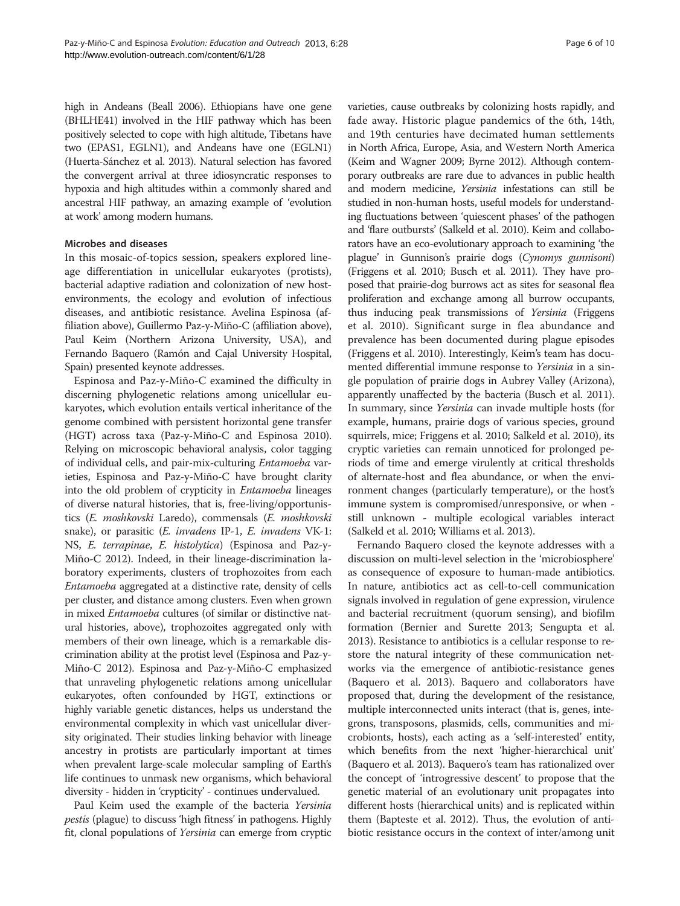high in Andeans (Beall [2006](#page-7-0)). Ethiopians have one gene (BHLHE41) involved in the HIF pathway which has been positively selected to cope with high altitude, Tibetans have two (EPAS1, EGLN1), and Andeans have one (EGLN1) (Huerta-Sánchez et al. [2013\)](#page-8-0). Natural selection has favored the convergent arrival at three idiosyncratic responses to hypoxia and high altitudes within a commonly shared and ancestral HIF pathway, an amazing example of 'evolution at work' among modern humans.

## Microbes and diseases

In this mosaic-of-topics session, speakers explored lineage differentiation in unicellular eukaryotes (protists), bacterial adaptive radiation and colonization of new hostenvironments, the ecology and evolution of infectious diseases, and antibiotic resistance. Avelina Espinosa (affiliation above), Guillermo Paz-y-Miño-C (affiliation above), Paul Keim (Northern Arizona University, USA), and Fernando Baquero (Ramón and Cajal University Hospital, Spain) presented keynote addresses.

Espinosa and Paz-y-Miño-C examined the difficulty in discerning phylogenetic relations among unicellular eukaryotes, which evolution entails vertical inheritance of the genome combined with persistent horizontal gene transfer (HGT) across taxa (Paz-y-Miño-C and Espinosa [2010](#page-8-0)). Relying on microscopic behavioral analysis, color tagging of individual cells, and pair-mix-culturing Entamoeba varieties, Espinosa and Paz-y-Miño-C have brought clarity into the old problem of crypticity in Entamoeba lineages of diverse natural histories, that is, free-living/opportunistics (E. moshkovski Laredo), commensals (E. moshkovski snake), or parasitic (E. invadens IP-1, E. invadens VK-1: NS, E. terrapinae, E. histolytica) (Espinosa and Paz-y-Miño-C [2012\)](#page-8-0). Indeed, in their lineage-discrimination laboratory experiments, clusters of trophozoites from each Entamoeba aggregated at a distinctive rate, density of cells per cluster, and distance among clusters. Even when grown in mixed Entamoeba cultures (of similar or distinctive natural histories, above), trophozoites aggregated only with members of their own lineage, which is a remarkable discrimination ability at the protist level (Espinosa and Paz-y-Miño-C [2012\)](#page-8-0). Espinosa and Paz-y-Miño-C emphasized that unraveling phylogenetic relations among unicellular eukaryotes, often confounded by HGT, extinctions or highly variable genetic distances, helps us understand the environmental complexity in which vast unicellular diversity originated. Their studies linking behavior with lineage ancestry in protists are particularly important at times when prevalent large-scale molecular sampling of Earth's life continues to unmask new organisms, which behavioral diversity - hidden in 'crypticity' - continues undervalued.

Paul Keim used the example of the bacteria Yersinia pestis (plague) to discuss 'high fitness' in pathogens. Highly fit, clonal populations of Yersinia can emerge from cryptic varieties, cause outbreaks by colonizing hosts rapidly, and fade away. Historic plague pandemics of the 6th, 14th, and 19th centuries have decimated human settlements in North Africa, Europe, Asia, and Western North America (Keim and Wagner [2009;](#page-8-0) Byrne [2012](#page-8-0)). Although contemporary outbreaks are rare due to advances in public health and modern medicine, Yersinia infestations can still be studied in non-human hosts, useful models for understanding fluctuations between 'quiescent phases' of the pathogen and 'flare outbursts' (Salkeld et al. [2010](#page-8-0)). Keim and collaborators have an eco-evolutionary approach to examining 'the plague' in Gunnison's prairie dogs (Cynomys gunnisoni) (Friggens et al. [2010](#page-8-0); Busch et al. [2011\)](#page-7-0). They have proposed that prairie-dog burrows act as sites for seasonal flea proliferation and exchange among all burrow occupants, thus inducing peak transmissions of Yersinia (Friggens et al. [2010](#page-8-0)). Significant surge in flea abundance and prevalence has been documented during plague episodes (Friggens et al. [2010](#page-8-0)). Interestingly, Keim's team has documented differential immune response to Yersinia in a single population of prairie dogs in Aubrey Valley (Arizona), apparently unaffected by the bacteria (Busch et al. [2011](#page-7-0)). In summary, since Yersinia can invade multiple hosts (for example, humans, prairie dogs of various species, ground squirrels, mice; Friggens et al. [2010;](#page-8-0) Salkeld et al. [2010](#page-8-0)), its cryptic varieties can remain unnoticed for prolonged periods of time and emerge virulently at critical thresholds of alternate-host and flea abundance, or when the environment changes (particularly temperature), or the host's immune system is compromised/unresponsive, or when still unknown - multiple ecological variables interact (Salkeld et al. [2010;](#page-8-0) Williams et al. [2013\)](#page-9-0).

Fernando Baquero closed the keynote addresses with a discussion on multi-level selection in the 'microbiosphere' as consequence of exposure to human-made antibiotics. In nature, antibiotics act as cell-to-cell communication signals involved in regulation of gene expression, virulence and bacterial recruitment (quorum sensing), and biofilm formation (Bernier and Surette [2013](#page-7-0); Sengupta et al. [2013](#page-8-0)). Resistance to antibiotics is a cellular response to restore the natural integrity of these communication networks via the emergence of antibiotic-resistance genes (Baquero et al. [2013](#page-7-0)). Baquero and collaborators have proposed that, during the development of the resistance, multiple interconnected units interact (that is, genes, integrons, transposons, plasmids, cells, communities and microbionts, hosts), each acting as a 'self-interested' entity, which benefits from the next 'higher-hierarchical unit' (Baquero et al. [2013\)](#page-7-0). Baquero's team has rationalized over the concept of 'introgressive descent' to propose that the genetic material of an evolutionary unit propagates into different hosts (hierarchical units) and is replicated within them (Bapteste et al. [2012\)](#page-7-0). Thus, the evolution of antibiotic resistance occurs in the context of inter/among unit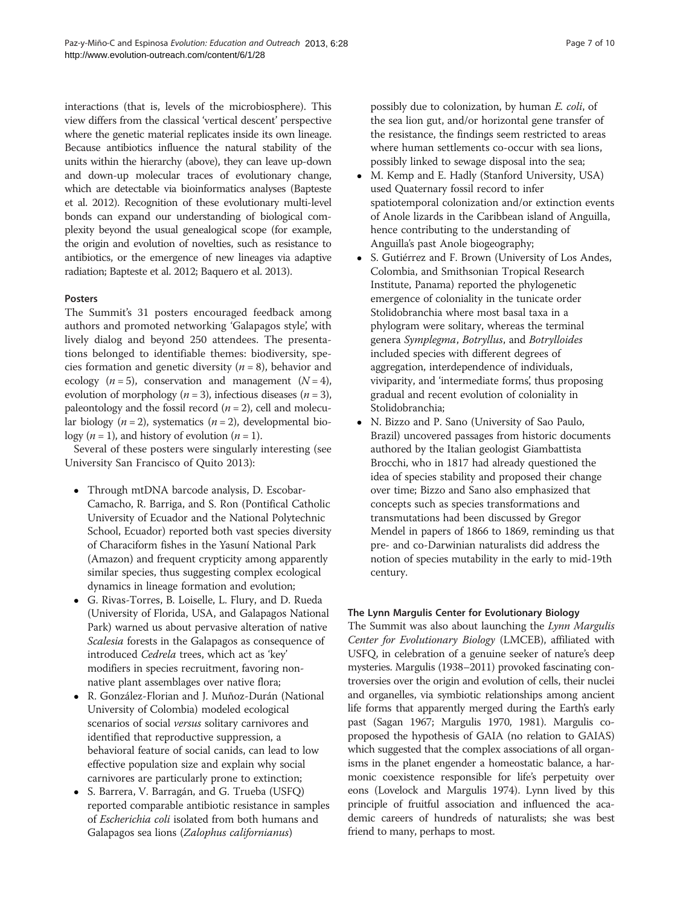interactions (that is, levels of the microbiosphere). This view differs from the classical 'vertical descent' perspective where the genetic material replicates inside its own lineage. Because antibiotics influence the natural stability of the units within the hierarchy (above), they can leave up-down and down-up molecular traces of evolutionary change, which are detectable via bioinformatics analyses (Bapteste et al. [2012\)](#page-7-0). Recognition of these evolutionary multi-level bonds can expand our understanding of biological complexity beyond the usual genealogical scope (for example, the origin and evolution of novelties, such as resistance to antibiotics, or the emergence of new lineages via adaptive radiation; Bapteste et al. [2012](#page-7-0); Baquero et al. [2013](#page-7-0)).

#### Posters

The Summit's 31 posters encouraged feedback among authors and promoted networking 'Galapagos style', with lively dialog and beyond 250 attendees. The presentations belonged to identifiable themes: biodiversity, species formation and genetic diversity  $(n = 8)$ , behavior and ecology  $(n = 5)$ , conservation and management  $(N = 4)$ , evolution of morphology ( $n = 3$ ), infectious diseases ( $n = 3$ ), paleontology and the fossil record  $(n = 2)$ , cell and molecular biology ( $n = 2$ ), systematics ( $n = 2$ ), developmental biology ( $n = 1$ ), and history of evolution ( $n = 1$ ).

Several of these posters were singularly interesting (see University San Francisco of Quito [2013](#page-8-0)):

- Through mtDNA barcode analysis, D. Escobar-Camacho, R. Barriga, and S. Ron (Pontifical Catholic University of Ecuador and the National Polytechnic School, Ecuador) reported both vast species diversity of Characiform fishes in the Yasuní National Park (Amazon) and frequent crypticity among apparently similar species, thus suggesting complex ecological dynamics in lineage formation and evolution;
- G. Rivas-Torres, B. Loiselle, L. Flury, and D. Rueda (University of Florida, USA, and Galapagos National Park) warned us about pervasive alteration of native Scalesia forests in the Galapagos as consequence of introduced Cedrela trees, which act as 'key' modifiers in species recruitment, favoring nonnative plant assemblages over native flora;
- R. González-Florian and J. Muñoz-Durán (National University of Colombia) modeled ecological scenarios of social versus solitary carnivores and identified that reproductive suppression, a behavioral feature of social canids, can lead to low effective population size and explain why social carnivores are particularly prone to extinction;
- S. Barrera, V. Barragán, and G. Trueba (USFQ) reported comparable antibiotic resistance in samples of Escherichia coli isolated from both humans and Galapagos sea lions (Zalophus californianus)

possibly due to colonization, by human E. coli, of the sea lion gut, and/or horizontal gene transfer of the resistance, the findings seem restricted to areas where human settlements co-occur with sea lions, possibly linked to sewage disposal into the sea;

- M. Kemp and E. Hadly (Stanford University, USA) used Quaternary fossil record to infer spatiotemporal colonization and/or extinction events of Anole lizards in the Caribbean island of Anguilla, hence contributing to the understanding of Anguilla's past Anole biogeography;
- S. Gutiérrez and F. Brown (University of Los Andes, Colombia, and Smithsonian Tropical Research Institute, Panama) reported the phylogenetic emergence of coloniality in the tunicate order Stolidobranchia where most basal taxa in a phylogram were solitary, whereas the terminal genera Symplegma, Botryllus, and Botrylloides included species with different degrees of aggregation, interdependence of individuals, viviparity, and 'intermediate forms', thus proposing gradual and recent evolution of coloniality in Stolidobranchia;
- N. Bizzo and P. Sano (University of Sao Paulo, Brazil) uncovered passages from historic documents authored by the Italian geologist Giambattista Brocchi, who in 1817 had already questioned the idea of species stability and proposed their change over time; Bizzo and Sano also emphasized that concepts such as species transformations and transmutations had been discussed by Gregor Mendel in papers of 1866 to 1869, reminding us that pre- and co-Darwinian naturalists did address the notion of species mutability in the early to mid-19th century.

## The Lynn Margulis Center for Evolutionary Biology

The Summit was also about launching the Lynn Margulis Center for Evolutionary Biology (LMCEB), affiliated with USFQ, in celebration of a genuine seeker of nature's deep mysteries. Margulis (1938–2011) provoked fascinating controversies over the origin and evolution of cells, their nuclei and organelles, via symbiotic relationships among ancient life forms that apparently merged during the Earth's early past (Sagan [1967](#page-8-0); Margulis [1970](#page-8-0), [1981\)](#page-8-0). Margulis coproposed the hypothesis of GAIA (no relation to GAIAS) which suggested that the complex associations of all organisms in the planet engender a homeostatic balance, a harmonic coexistence responsible for life's perpetuity over eons (Lovelock and Margulis [1974](#page-8-0)). Lynn lived by this principle of fruitful association and influenced the academic careers of hundreds of naturalists; she was best friend to many, perhaps to most.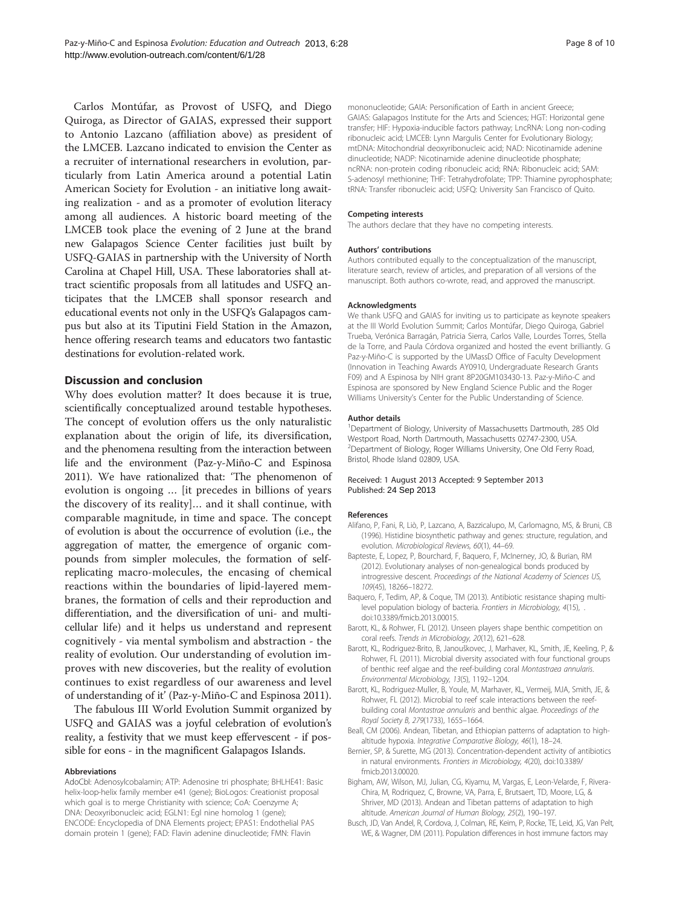<span id="page-7-0"></span>Carlos Montúfar, as Provost of USFQ, and Diego Quiroga, as Director of GAIAS, expressed their support to Antonio Lazcano (affiliation above) as president of the LMCEB. Lazcano indicated to envision the Center as a recruiter of international researchers in evolution, particularly from Latin America around a potential Latin American Society for Evolution - an initiative long awaiting realization - and as a promoter of evolution literacy among all audiences. A historic board meeting of the LMCEB took place the evening of 2 June at the brand new Galapagos Science Center facilities just built by USFQ-GAIAS in partnership with the University of North Carolina at Chapel Hill, USA. These laboratories shall attract scientific proposals from all latitudes and USFQ anticipates that the LMCEB shall sponsor research and educational events not only in the USFQ's Galapagos campus but also at its Tiputini Field Station in the Amazon, hence offering research teams and educators two fantastic destinations for evolution-related work.

### Discussion and conclusion

Why does evolution matter? It does because it is true, scientifically conceptualized around testable hypotheses. The concept of evolution offers us the only naturalistic explanation about the origin of life, its diversification, and the phenomena resulting from the interaction between life and the environment (Paz-y-Miño-C and Espinosa [2011\)](#page-8-0). We have rationalized that: 'The phenomenon of evolution is ongoing … [it precedes in billions of years the discovery of its reality]… and it shall continue, with comparable magnitude, in time and space. The concept of evolution is about the occurrence of evolution (i.e., the aggregation of matter, the emergence of organic compounds from simpler molecules, the formation of selfreplicating macro-molecules, the encasing of chemical reactions within the boundaries of lipid-layered membranes, the formation of cells and their reproduction and differentiation, and the diversification of uni- and multicellular life) and it helps us understand and represent cognitively - via mental symbolism and abstraction - the reality of evolution. Our understanding of evolution improves with new discoveries, but the reality of evolution continues to exist regardless of our awareness and level of understanding of it' (Paz-y-Miño-C and Espinosa [2011\)](#page-8-0).

The fabulous III World Evolution Summit organized by USFQ and GAIAS was a joyful celebration of evolution's reality, a festivity that we must keep effervescent - if possible for eons - in the magnificent Galapagos Islands.

#### Abbreviations

AdoCbl: Adenosylcobalamin; ATP: Adenosine tri phosphate; BHLHE41: Basic helix-loop-helix family member e41 (gene); BioLogos: Creationist proposal which goal is to merge Christianity with science; CoA: Coenzyme A; DNA: Deoxyribonucleic acid; EGLN1: Egl nine homolog 1 (gene); ENCODE: Encyclopedia of DNA Elements project; EPAS1: Endothelial PAS domain protein 1 (gene); FAD: Flavin adenine dinucleotide; FMN: Flavin

mononucleotide; GAIA: Personification of Earth in ancient Greece; GAIAS: Galapagos Institute for the Arts and Sciences; HGT: Horizontal gene transfer; HIF: Hypoxia-inducible factors pathway; LncRNA: Long non-coding ribonucleic acid; LMCEB: Lynn Margulis Center for Evolutionary Biology; mtDNA: Mitochondrial deoxyribonucleic acid; NAD: Nicotinamide adenine dinucleotide; NADP: Nicotinamide adenine dinucleotide phosphate; ncRNA: non-protein coding ribonucleic acid; RNA: Ribonucleic acid; SAM: S-adenosyl methionine; THF: Tetrahydrofolate; TPP: Thiamine pyrophosphate; tRNA: Transfer ribonucleic acid; USFQ: University San Francisco of Quito.

#### Competing interests

The authors declare that they have no competing interests.

#### Authors' contributions

Authors contributed equally to the conceptualization of the manuscript, literature search, review of articles, and preparation of all versions of the manuscript. Both authors co-wrote, read, and approved the manuscript.

#### Acknowledgments

We thank USFQ and GAIAS for inviting us to participate as keynote speakers at the III World Evolution Summit; Carlos Montúfar, Diego Quiroga, Gabriel Trueba, Verónica Barragán, Patricia Sierra, Carlos Valle, Lourdes Torres, Stella de la Torre, and Paula Córdova organized and hosted the event brilliantly. G Paz-y-Miño-C is supported by the UMassD Office of Faculty Development (Innovation in Teaching Awards AY0910, Undergraduate Research Grants F09) and A Espinosa by NIH grant 8P20GM103430-13. Paz-y-Miño-C and Espinosa are sponsored by New England Science Public and the Roger Williams University's Center for the Public Understanding of Science.

#### Author details

<sup>1</sup>Department of Biology, University of Massachusetts Dartmouth, 285 Old Westport Road, North Dartmouth, Massachusetts 02747-2300, USA. <sup>2</sup> Department of Biology, Roger Williams University, One Old Ferry Road, Bristol, Rhode Island 02809, USA.

#### Received: 1 August 2013 Accepted: 9 September 2013 Published: 24 Sep 2013

#### References

- Alifano, P, Fani, R, Liò, P, Lazcano, A, Bazzicalupo, M, Carlomagno, MS, & Bruni, CB (1996). Histidine biosynthetic pathway and genes: structure, regulation, and evolution. Microbiological Reviews, 60(1), 44–69.
- Bapteste, E, Lopez, P, Bourchard, F, Baquero, F, McInerney, JO, & Burian, RM (2012). Evolutionary analyses of non-genealogical bonds produced by introgressive descent. Proceedings of the National Academy of Sciences US, 109(45), 18266–18272.
- Baquero, F, Tedim, AP, & Coque, TM (2013). Antibiotic resistance shaping multilevel population biology of bacteria. Frontiers in Microbiology, 4(15), . doi:10.3389/fmicb.2013.00015.
- Barott, KL, & Rohwer, FL (2012). Unseen players shape benthic competition on coral reefs. Trends in Microbiology, 20(12), 621–628.
- Barott, KL, Rodriguez-Brito, B, Janouškovec, J, Marhaver, KL, Smith, JE, Keeling, P, & Rohwer, FL (2011). Microbial diversity associated with four functional groups of benthic reef algae and the reef-building coral Montastraea annularis. Environmental Microbiology, 13(5), 1192–1204.
- Barott, KL, Rodriguez-Muller, B, Youle, M, Marhaver, KL, Vermeij, MJA, Smith, JE, & Rohwer, FL (2012). Microbial to reef scale interactions between the reefbuilding coral Montastrae annularis and benthic algae. Proceedings of the Royal Society B, 279(1733), 1655–1664.
- Beall, CM (2006). Andean, Tibetan, and Ethiopian patterns of adaptation to highaltitude hypoxia. Integrative Comparative Biology, 46(1), 18–24.
- Bernier, SP, & Surette, MG (2013). Concentration-dependent activity of antibiotics in natural environments. Frontiers in Microbiology, 4(20), doi:10.3389/ fmicb.2013.00020.
- Bigham, AW, Wilson, MJ, Julian, CG, Kiyamu, M, Vargas, E, Leon-Velarde, F, Rivera-Chira, M, Rodriquez, C, Browne, VA, Parra, E, Brutsaert, TD, Moore, LG, & Shriver, MD (2013). Andean and Tibetan patterns of adaptation to high altitude. American Journal of Human Biology, 25(2), 190–197.
- Busch, JD, Van Andel, R, Cordova, J, Colman, RE, Keim, P, Rocke, TE, Leid, JG, Van Pelt, WE, & Wagner, DM (2011). Population differences in host immune factors may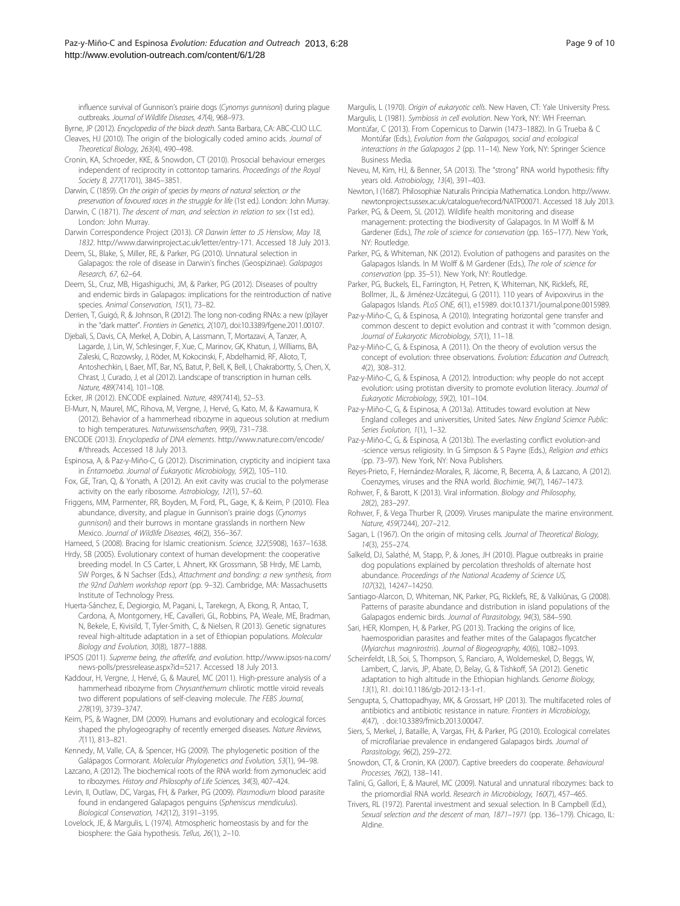<span id="page-8-0"></span>influence survival of Gunnison's prairie dogs (Cynomys gunnisoni) during plague outbreaks. Journal of Wildlife Diseases, 47(4), 968–973.

- Byrne, JP (2012). Encyclopedia of the black death. Santa Barbara, CA: ABC-CLIO LLC. Cleaves, HJ (2010). The origin of the biologically coded amino acids. Journal of Theoretical Biology, 263(4), 490–498.
- Cronin, KA, Schroeder, KKE, & Snowdon, CT (2010). Prosocial behaviour emerges independent of reciprocity in cottontop tamarins. Proceedings of the Royal Society B, 277(1701), 3845–3851.
- Darwin, C (1859). On the origin of species by means of natural selection, or the preservation of favoured races in the struggle for life (1st ed.). London: John Murray.
- Darwin, C (1871). The descent of man, and selection in relation to sex (1st ed.). London: John Murray.
- Darwin Correspondence Project (2013). CR Darwin letter to JS Henslow, May 18, 1832. [http://www.darwinproject.ac.uk/letter/entry-171.](http://www.darwinproject.ac.uk/letter/entry-171) Accessed 18 July 2013.
- Deem, SL, Blake, S, Miller, RE, & Parker, PG (2010). Unnatural selection in Galapagos: the role of disease in Darwin's finches (Geospizinae). Galapagos Research, 67, 62–64.
- Deem, SL, Cruz, MB, Higashiguchi, JM, & Parker, PG (2012). Diseases of poultry and endemic birds in Galapagos: implications for the reintroduction of native species. Animal Conservation, 15(1), 73–82.
- Derrien, T, Guigó, R, & Johnson, R (2012). The long non-coding RNAs: a new (p)layer in the "dark matter". Frontiers in Genetics, 2(107), doi:10.3389/fgene.2011.00107.
- Djebali, S, Davis, CA, Merkel, A, Dobin, A, Lassmann, T, Mortazavi, A, Tanzer, A, Lagarde, J, Lin, W, Schlesinger, F, Xue, C, Marinov, GK, Khatun, J, Williams, BA, Zaleski, C, Rozowsky, J, Röder, M, Kokocinski, F, Abdelhamid, RF, Alioto, T, Antoshechkin, I, Baer, MT, Bar, NS, Batut, P, Bell, K, Bell, I, Chakrabortty, S, Chen, X, Chrast, J, Curado, J, et al (2012). Landscape of transcription in human cells. Nature, 489(7414), 101–108.

Ecker, JR (2012). ENCODE explained. Nature, 489(7414), 52–53.

- El-Murr, N, Maurel, MC, Rihova, M, Vergne, J, Hervé, G, Kato, M, & Kawamura, K (2012). Behavior of a hammerhead ribozyme in aqueous solution at medium to high temperatures. Naturwissenschaften, 99(9), 731–738.
- ENCODE (2013). Encyclopedia of DNA elements. [http://www.nature.com/encode/](http://www.nature.com/encode/#/threads) [#/threads](http://www.nature.com/encode/#/threads). Accessed 18 July 2013.
- Espinosa, A, & Paz-y-Miño-C, G (2012). Discrimination, crypticity and incipient taxa in Entamoeba. Journal of Eukaryotic Microbiology, 59(2), 105–110.

Fox, GE, Tran, Q, & Yonath, A (2012). An exit cavity was crucial to the polymerase activity on the early ribosome. Astrobiology, 12(1), 57–60.

Friggens, MM, Parmenter, RR, Boyden, M, Ford, PL, Gage, K, & Keim, P (2010). Flea abundance, diversity, and plague in Gunnison's prairie dogs (Cynomys gunnisoni) and their burrows in montane grasslands in northern New Mexico. Journal of Wildlife Diseases, 46(2), 356–367.

Hameed, S (2008). Bracing for Islamic creationism. Science, 322(5908), 1637–1638. Hrdy, SB (2005). Evolutionary context of human development: the cooperative breeding model. In CS Carter, L Ahnert, KK Grossmann, SB Hrdy, ME Lamb, SW Porges, & N Sachser (Eds.), Attachment and bonding: a new synthesis, from the 92nd Dahlem workshop report (pp. 9–32). Cambridge, MA: Massachusetts Institute of Technology Press.

Huerta-Sánchez, E, Degiorgio, M, Pagani, L, Tarekegn, A, Ekong, R, Antao, T, Cardona, A, Montgomery, HE, Cavalleri, GL, Robbins, PA, Weale, ME, Bradman, N, Bekele, E, Kivisild, T, Tyler-Smith, C, & Nielsen, R (2013). Genetic signatures reveal high-altitude adaptation in a set of Ethiopian populations. Molecular Biology and Evolution, 30(8), 1877–1888.

IPSOS (2011). Supreme being, the afterlife, and evolution. [http://www.ipsos-na.com/](http://www.ipsos-na.com/news-polls/pressrelease.aspx?id=5217) [news-polls/pressrelease.aspx?id=5217](http://www.ipsos-na.com/news-polls/pressrelease.aspx?id=5217). Accessed 18 July 2013.

Kaddour, H, Vergne, J, Hervé, G, & Maurel, MC (2011). High-pressure analysis of a hammerhead ribozyme from Chrysanthemum chlirotic mottle viroid reveals two different populations of self-cleaving molecule. The FEBS Journal, 278(19), 3739–3747.

- Keim, PS, & Wagner, DM (2009). Humans and evolutionary and ecological forces shaped the phylogeography of recently emerged diseases. Nature Reviews, 7(11), 813–821.
- Kennedy, M, Valle, CA, & Spencer, HG (2009). The phylogenetic position of the Galápagos Cormorant. Molecular Phylogenetics and Evolution, 53(1), 94–98.

Lazcano, A (2012). The biochemical roots of the RNA world: from zymonucleic acid to ribozymes. History and Philosophy of Life Sciences, 34(3), 407–424.

Levin, II, Outlaw, DC, Vargas, FH, & Parker, PG (2009). Plasmodium blood parasite found in endangered Galapagos penguins (Spheniscus mendiculus). Biological Conservation, 142(12), 3191–3195.

Lovelock, JE, & Margulis, L (1974). Atmospheric homeostasis by and for the biosphere: the Gaia hypothesis. Tellus, 26(1), 2–10.

Margulis, L (1970). Origin of eukaryotic cells. New Haven, CT: Yale University Press.

- Margulis, L (1981). Symbiosis in cell evolution. New York, NY: WH Freeman.
- Montúfar, C (2013). From Copernicus to Darwin (1473–1882). In G Trueba & C Montúfar (Eds.), Evolution from the Galapagos, social and ecological interactions in the Galapagos 2 (pp. 11–14). New York, NY: Springer Science Business Media.
- Neveu, M, Kim, HJ, & Benner, SA (2013). The "strong" RNA world hypothesis: fifty years old. Astrobiology, 13(4), 391–403.

Newton, I (1687). Philosophiæ Naturalis Principia Mathematica. London. [http://www.](http://www.newtonproject.sussex.ac.uk/catalogue/record/NATP00071) [newtonproject.sussex.ac.uk/catalogue/record/NATP00071.](http://www.newtonproject.sussex.ac.uk/catalogue/record/NATP00071) Accessed 18 July 2013.

Parker, PG, & Deem, SL (2012). Wildlife health monitoring and disease management: protecting the biodiversity of Galapagos. In M Wolff & M Gardener (Eds.), The role of science for conservation (pp. 165–177). New York, NY: Routledge.

Parker, PG, & Whiteman, NK (2012). Evolution of pathogens and parasites on the Galapagos Islands. In M Wolff & M Gardener (Eds.), The role of science for conservation (pp. 35–51). New York, NY: Routledge.

Parker, PG, Buckels, EL, Farrington, H, Petren, K, Whiteman, NK, Ricklefs, RE, Bollmer, JL, & Jiménez-Uzcátegui, G (2011). 110 years of Avipoxvirus in the Galapagos Islands. PLoS ONE, 6(1), e15989. doi:10.1371/journal.pone.0015989.

Paz-y-Miño-C, G, & Espinosa, A (2010). Integrating horizontal gene transfer and common descent to depict evolution and contrast it with "common design. Journal of Eukaryotic Microbiology, 57(1), 11–18.

Paz-y-Miño-C, G, & Espinosa, A (2011). On the theory of evolution versus the concept of evolution: three observations. Evolution: Education and Outreach, 4(2), 308–312.

- Paz-y-Miño-C, G, & Espinosa, A (2012). Introduction: why people do not accept evolution: using protistan diversity to promote evolution literacy. Journal of Eukaryotic Microbiology, 59(2), 101–104.
- Paz-y-Miño-C, G, & Espinosa, A (2013a). Attitudes toward evolution at New England colleges and universities, United Sates. New England Science Public: Series Evolution, 1(1), 1–32.

Paz-y-Miño-C, G, & Espinosa, A (2013b). The everlasting conflict evolution-and .<br>-science versus religiosity. In G Simpson & S Payne (Eds.), Religion and ethics (pp. 73–97). New York, NY: Nova Publishers.

Reyes-Prieto, F, Hernández-Morales, R, Jácome, R, Becerra, A, & Lazcano, A (2012). Coenzymes, viruses and the RNA world. Biochimie, 94(7), 1467–1473.

Rohwer, F, & Barott, K (2013). Viral information. Biology and Philosophy, 28(2), 283–297.

- Rohwer, F, & Vega Thurber R, (2009). Viruses manipulate the marine environment. Nature, 459(7244), 207–212.
- Sagan, L (1967). On the origin of mitosing cells. Journal of Theoretical Biology, 14(3), 255–274.

Salkeld, DJ, Salathé, M, Stapp, P, & Jones, JH (2010). Plague outbreaks in prairie dog populations explained by percolation thresholds of alternate host abundance. Proceedings of the National Academy of Science US, 107(32), 14247–14250.

Santiago-Alarcon, D, Whiteman, NK, Parker, PG, Ricklefs, RE, & Valkiûnas, G (2008). Patterns of parasite abundance and distribution in island populations of the Galapagos endemic birds. Journal of Parasitology, 94(3), 584–590.

Sari, HER, Klompen, H, & Parker, PG (2013). Tracking the origins of lice, haemosporidian parasites and feather mites of the Galapagos flycatcher (Myiarchus magnirostris). Journal of Biogeography, 40(6), 1082–1093.

Scheinfeldt, LB, Soi, S, Thompson, S, Ranciaro, A, Woldemeskel, D, Beggs, W, Lambert, C, Jarvis, JP, Abate, D, Belay, G, & Tishkoff, SA (2012). Genetic adaptation to high altitude in the Ethiopian highlands. Genome Biology, 13(1), R1. doi:10.1186/gb-2012-13-1-r1.

Sengupta, S, Chattopadhyay, MK, & Grossart, HP (2013). The multifaceted roles of antibiotics and antibiotic resistance in nature. Frontiers in Microbiology, 4(47), . doi:10.3389/fmicb.2013.00047.

Siers, S, Merkel, J, Bataille, A, Vargas, FH, & Parker, PG (2010). Ecological correlates of microfilariae prevalence in endangered Galapagos birds. Journal of Parasitology, 96(2), 259–272.

- Snowdon, CT, & Cronin, KA (2007). Captive breeders do cooperate. Behavioural Processes, 76(2), 138–141.
- Talini, G, Gallori, E, & Maurel, MC (2009). Natural and unnatural ribozymes: back to the priomordial RNA world. Research in Microbiology, 160(7), 457–465.
- Trivers, RL (1972). Parental investment and sexual selection. In B Campbell (Ed.), Sexual selection and the descent of man, 1871-1971 (pp. 136-179). Chicago, IL: Aldine.